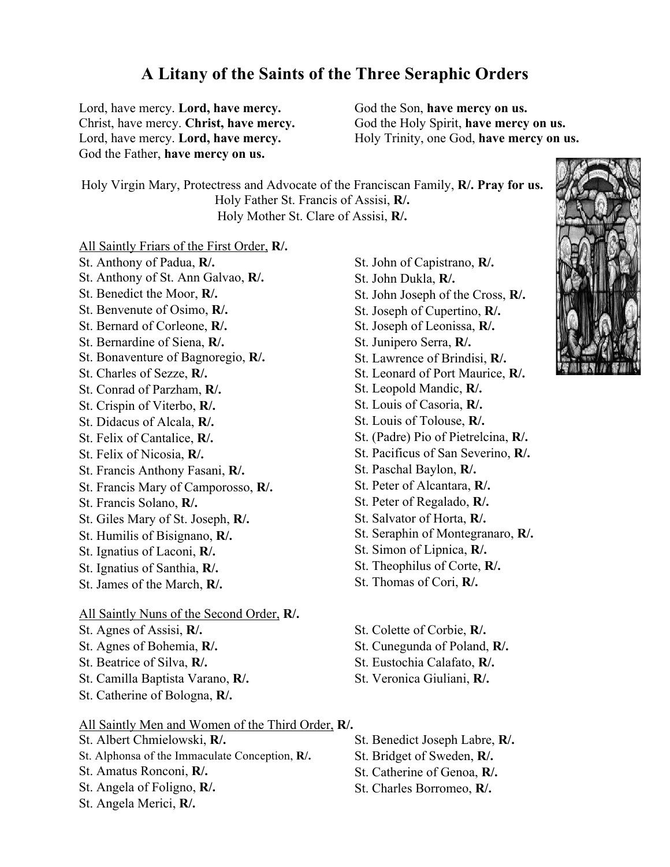## **A Litany of the Saints of the Three Seraphic Orders**

Lord, have mercy. **Lord, have mercy.** Christ, have mercy. **Christ, have mercy.** Lord, have mercy. **Lord, have mercy.** God the Father, **have mercy on us.**

God the Son, **have mercy on us.** God the Holy Spirit, **have mercy on us.** Holy Trinity, one God, **have mercy on us.**

Holy Virgin Mary, Protectress and Advocate of the Franciscan Family, **R/. Pray for us.** Holy Father St. Francis of Assisi, **R/.** Holy Mother St. Clare of Assisi, **R/.**

All Saintly Friars of the First Order, **R/.**

St. Anthony of Padua, **R/.** St. Anthony of St. Ann Galvao, **R/.** St. Benedict the Moor, **R/.** St. Benvenute of Osimo, **R/.** St. Bernard of Corleone, **R/.** St. Bernardine of Siena, **R/.** St. Bonaventure of Bagnoregio, **R/.** St. Charles of Sezze, **R/.** St. Conrad of Parzham, **R/.** St. Crispin of Viterbo, **R/.** St. Didacus of Alcala, **R/.** St. Felix of Cantalice, **R/.** St. Felix of Nicosia, **R/.** St. Francis Anthony Fasani, **R/.** St. Francis Mary of Camporosso, **R/.** St. Francis Solano, **R/.** St. Giles Mary of St. Joseph, **R/.** St. Humilis of Bisignano, **R/.** St. Ignatius of Laconi, **R/.** St. Ignatius of Santhia, **R/.** St. James of the March, **R/.** All Saintly Nuns of the Second Order, **R/.** St. Agnes of Assisi, **R/.** St. Agnes of Bohemia, **R/.** St. Beatrice of Silva, **R/.** St. Camilla Baptista Varano, **R/.** St. Catherine of Bologna, **R/.** All Saintly Men and Women of the Third Order, **R/.** St. Albert Chmielowski, **R/.**

- St. Alphonsa of the Immaculate Conception, **R/.**
- St. Amatus Ronconi, **R/.**
- St. Angela of Foligno, **R/.**
- St. Angela Merici, **R/.**
- St. John of Capistrano, **R/.** St. John Dukla, **R/.** St. John Joseph of the Cross, **R/.** St. Joseph of Cupertino, **R/.** St. Joseph of Leonissa, **R/.** St. Junipero Serra, **R/.** St. Lawrence of Brindisi, **R/.** St. Leonard of Port Maurice, **R/.** St. Leopold Mandic, **R/.** St. Louis of Casoria, **R/.** St. Louis of Tolouse, **R/.** St. (Padre) Pio of Pietrelcina, **R/.** St. Pacificus of San Severino, **R/.** St. Paschal Baylon, **R/.** St. Peter of Alcantara, **R/.** St. Peter of Regalado, **R/.** St. Salvator of Horta, **R/.** St. Seraphin of Montegranaro, **R/.** St. Simon of Lipnica, **R/.** St. Theophilus of Corte, **R/.** St. Thomas of Cori, **R/.**
- St. Colette of Corbie, **R/.**
- St. Cunegunda of Poland, **R/.**
- St. Eustochia Calafato, **R/.**
- St. Veronica Giuliani, **R/.**
- St. Benedict Joseph Labre, **R/.**
- St. Bridget of Sweden, **R/.**
- St. Catherine of Genoa, **R/.**
- St. Charles Borromeo, **R/.**